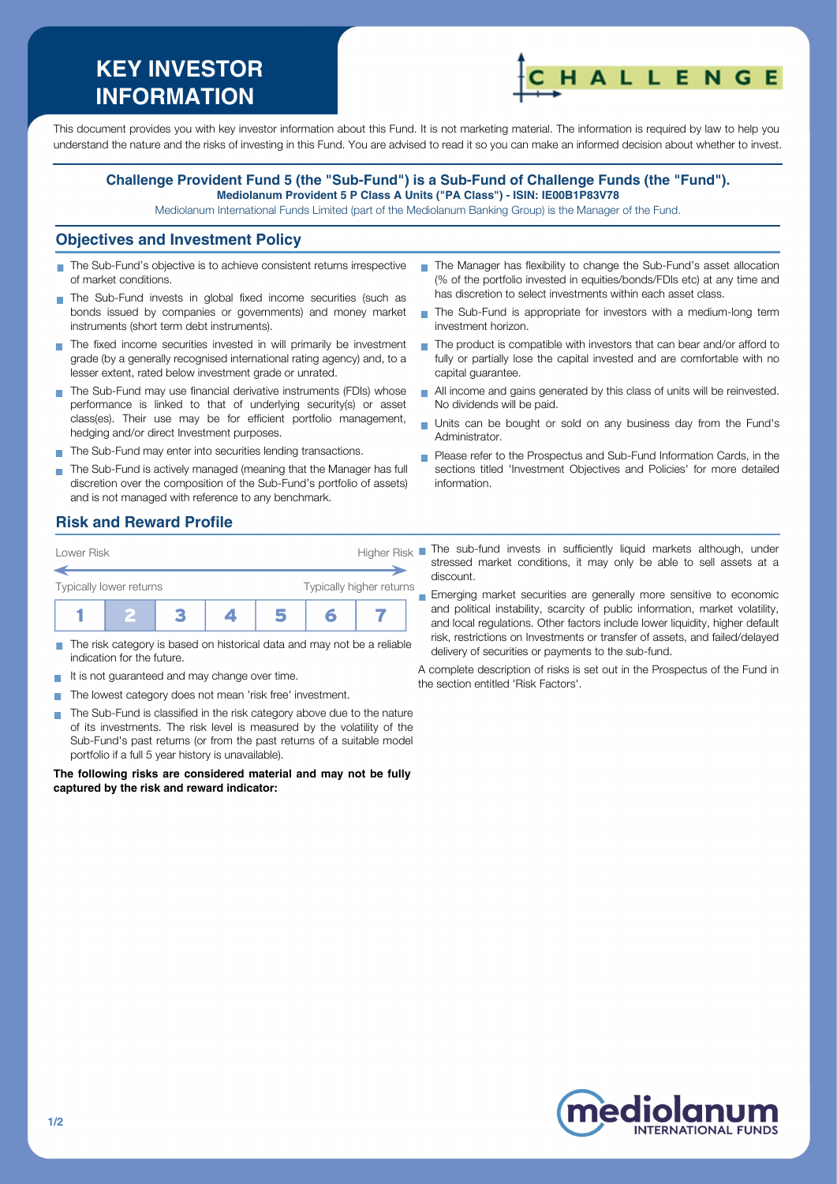# **KEY INVESTOR INFORMATION**



This document provides you with key investor information about this Fund. It is not marketing material. The information is required by law to help you understand the nature and the risks of investing in this Fund. You are advised to read it so you can make an informed decision about whether to invest.

#### **Challenge Provident Fund 5 (the "Sub-Fund") is a Sub-Fund of Challenge Funds (the "Fund"). Mediolanum Provident 5 P Class A Units ("PA Class") - ISIN: IE00B1P83V78**

Mediolanum International Funds Limited (part of the Mediolanum Banking Group) is the Manager of the Fund.

#### **Objectives and Investment Policy**

- The Sub-Fund's objective is to achieve consistent returns irrespective of market conditions.
- The Sub-Fund invests in global fixed income securities (such as bonds issued by companies or governments) and money market instruments (short term debt instruments).
- The fixed income securities invested in will primarily be investment grade (by a generally recognised international rating agency) and, to a lesser extent, rated below investment grade or unrated.
- The Sub-Fund may use financial derivative instruments (FDIs) whose performance is linked to that of underlying security(s) or asset class(es). Their use may be for efficient portfolio management, hedging and/or direct Investment purposes.
- The Sub-Fund may enter into securities lending transactions.
- The Sub-Fund is actively managed (meaning that the Manager has full discretion over the composition of the Sub-Fund's portfolio of assets) and is not managed with reference to any benchmark.
- The Manager has flexibility to change the Sub-Fund's asset allocation (% of the portfolio invested in equities/bonds/FDIs etc) at any time and has discretion to select investments within each asset class.
- The Sub-Fund is appropriate for investors with a medium-long term investment horizon.
- The product is compatible with investors that can bear and/or afford to fully or partially lose the capital invested and are comfortable with no capital guarantee.
- All income and gains generated by this class of units will be reinvested. No dividends will be paid.
- Units can be bought or sold on any business day from the Fund's Administrator.
- **Please refer to the Prospectus and Sub-Fund Information Cards, in the** sections titled 'Investment Objectives and Policies' for more detailed information.

# **Risk and Reward Profile**

| Lower Risk              |  | Higher Risk |  |                          |  |  |
|-------------------------|--|-------------|--|--------------------------|--|--|
| Typically lower returns |  |             |  | Typically higher returns |  |  |
|                         |  |             |  |                          |  |  |

- The risk category is based on historical data and may not be a reliable indication for the future.
- It is not guaranteed and may change over time.
- The lowest category does not mean 'risk free' investment.  $\sim$
- The Sub-Fund is classified in the risk category above due to the nature of its investments. The risk level is measured by the volatility of the Sub-Fund's past returns (or from the past returns of a suitable model portfolio if a full 5 year history is unavailable).

**The following risks are considered material and may not be fully captured by the risk and reward indicator:**

The sub-fund invests in sufficiently liquid markets although, under stressed market conditions, it may only be able to sell assets at a discount.

**Emerging market securities are generally more sensitive to economic** and political instability, scarcity of public information, market volatility, and local regulations. Other factors include lower liquidity, higher default risk, restrictions on Investments or transfer of assets, and failed/delayed delivery of securities or payments to the sub-fund.

A complete description of risks is set out in the Prospectus of the Fund in the section entitled 'Risk Factors'.